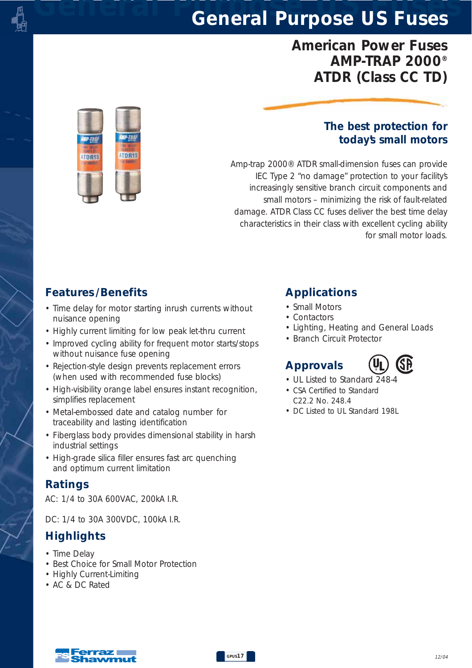# *General Purpose US Fuses General Purpose US Fuses*

## *American Power Fuses AMP-TRAP 2000® ATDR (Class CC TD)*



### *The best protection for today's small motors*

*Amp-trap 2000® ATDR small-dimension fuses can provide IEC Type 2 "no damage" protection to your facility's increasingly sensitive branch circuit components and small motors – minimizing the risk of fault-related damage. ATDR Class CC fuses deliver the best time delay characteristics in their class with excellent cycling ability for small motor loads.*

### *Features /Benefits*

- *Time delay for motor starting inrush currents without nuisance opening*
- *Highly current limiting for low peak let-thru current*
- *Improved cycling ability for frequent motor starts/stops without nuisance fuse opening*
- *Rejection-style design prevents replacement errors (when used with recommended fuse blocks)*
- *High-visibility orange label ensures instant recognition, simplifies replacement*
- *Metal-embossed date and catalog number for traceability and lasting identification*
- *Fiberglass body provides dimensional stability in harsh industrial settings*
- *High-grade silica filler ensures fast arc quenching and optimum current limitation*

### *Ratings*

*AC: 1/4 to 30A 600VAC, 200kA I.R.*

*DC: 1/4 to 30A 300VDC, 100kA I.R.* 

### *Highlights*

- *Time Delay*
- *Best Choice for Small Motor Protection*
- *Highly Current-Limiting*
- *AC & DC Rated*

## *Applications*

- *Small Motors*
- *Contactors*
- *Lighting, Heating and General Loads*
- *Branch Circuit Protector*

# *Approvals*



- *UL Listed to Standard 248-4*
- *CSA Certified to Standard C22.2 No. 248.4*
- *DC Listed to UL Standard 198L*



*GPUS17*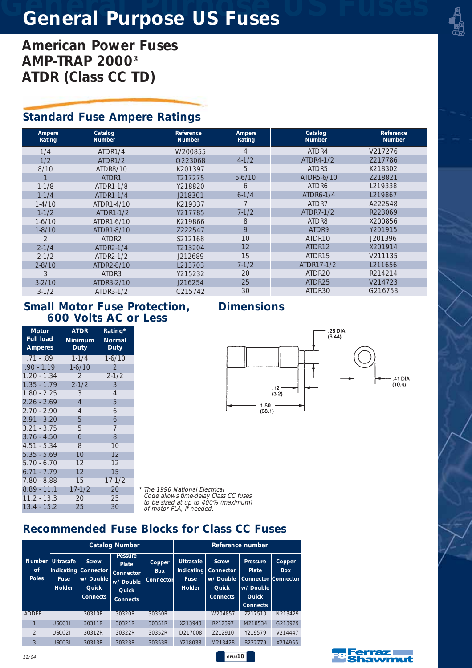# *General Purpose US Fuses General Purpose US Fuses*

*American Power Fuses AMP-TRAP 2000® ATDR (Class CC TD)*

### *Standard Fuse Ampere Ratings*

| Ampere<br>Rating | Catalog<br><b>Number</b> | Reference<br><b>Number</b> | Ampere<br>Rating | Catalog<br><b>Number</b> | <b>Reference</b><br><b>Number</b> |  |
|------------------|--------------------------|----------------------------|------------------|--------------------------|-----------------------------------|--|
|                  |                          |                            |                  |                          |                                   |  |
| 1/4              | ATDR1/4                  | W200855                    | 4                | ATDR4                    | V217276                           |  |
| 1/2              | ATDR1/2                  | Q223068                    | $4 - 1/2$        | ATDR4-1/2                | Z217786                           |  |
| 8/10             | ATDR8/10                 | K201397                    | 5                | ATDR5                    | K218302                           |  |
|                  | ATDR1                    | T217275                    | $5-6/10$         | ATDR5-6/10               | 7218821                           |  |
| $1 - 1/8$        | ATDR1-1/8                | Y218820                    | 6                | ATDR6                    | L219338                           |  |
| $1 - 1/4$        | ATDR1-1/4                | J218301                    | $6 - 1/4$        | ATDR6-1/4                | L219867                           |  |
| $1 - 4/10$       | ATDR1-4/10               | K219337                    |                  | ATDR7                    | A222548                           |  |
| $1 - 1/2$        | ATDR1-1/2                | Y217785                    | $7 - 1/2$        | ATDR7-1/2                | R223069                           |  |
| $1-6/10$         | ATDR1-6/10               | K219866                    | 8                | ATDR8                    | X200856                           |  |
| $1 - 8/10$       | ATDR1-8/10               | 7222547                    | 9                | ATDR9                    | Y201915                           |  |
| $\overline{2}$   | ATDR <sub>2</sub>        | S212168                    | 10               | ATDR10                   | J201396                           |  |
| $2 - 1/4$        | ATDR2-1/4                | T213204                    | 12               | ATDR12                   | X201914                           |  |
| $2 - 1/2$        | ATDR2-1/2                | J212689                    | 15               | ATDR15                   | V211135                           |  |
| $2 - 8/10$       | ATDR2-8/10               | L213703                    | $7 - 1/2$        | ATDR17-1/2               | L211656                           |  |
| 3                | ATDR3                    | Y215232                    | 20               | ATDR20                   | R214214                           |  |
| $3 - 2/10$       | ATDR3-2/10               | J216254                    | 25               | ATDR25                   | V214723                           |  |
| $3 - 1/2$        | ATDR3-1/2                | C215742                    | 30               | ATDR30                   | G216758                           |  |

#### *Small Motor Fuse Protection, 600 Volts AC or Less*

| <b>Motor</b>                       | <b>ATDR</b>            | Rating*               |  |  |
|------------------------------------|------------------------|-----------------------|--|--|
| <b>Full load</b><br><b>Amperes</b> | <b>Minimum</b><br>Duty | <b>Normal</b><br>Duty |  |  |
| $.71-.89$                          | $1 - 1/4$              | $1 - 6/10$            |  |  |
| $.90 - 1.19$                       | $1 - 6/10$             | $\overline{2}$        |  |  |
| 1.20 - 1.34                        | 2                      | $2 - 1/2$             |  |  |
| $1.35 - 1.79$                      | $2 - 1/2$              | 3                     |  |  |
| $1.80 - 2.25$                      | 3                      | $\overline{4}$        |  |  |
| $2.26 - 2.69$                      | $\overline{4}$         | 5                     |  |  |
| $2.70 - 2.90$                      | 4                      | 6                     |  |  |
| $2.91 - 3.20$                      | 5                      | 6                     |  |  |
| $3.21 - 3.75$                      | 5                      | 7                     |  |  |
| $3.76 - 4.50$                      | 6                      | 8                     |  |  |
| $4.51 - 5.34$                      | 8                      | 10                    |  |  |
| $5.35 - 5.69$                      | 10                     | 12                    |  |  |
| $5.70 - 6.70$                      | 12                     | 12                    |  |  |
| 6.71 - 7.79                        | 12                     | 15                    |  |  |
| 7.80 - 8.88                        | 15                     | $17 - 1/2$            |  |  |
| $8.89 - 11.1$                      | $17 - 1/2$             | 20                    |  |  |
| 11.2 - 13.3                        | 20                     | 25                    |  |  |
| 13.4 - 15.2                        | 25                     | 30                    |  |  |

*Dimensions*



*\* The 1996 National Electrical Code allows time-delay Class CC fuses to be sized at up to 400% (maximum) of motor FLA, if needed.*

*GPUS18*

## *Recommended Fuse Blocks for Class CC Fuses*

|                                     | <b>Catalog Number</b>                            |                                                                                     |                                                                               | Reference number                  |                                                  |                                                                                      |                                                                                          |                      |
|-------------------------------------|--------------------------------------------------|-------------------------------------------------------------------------------------|-------------------------------------------------------------------------------|-----------------------------------|--------------------------------------------------|--------------------------------------------------------------------------------------|------------------------------------------------------------------------------------------|----------------------|
| Number<br><b>of</b><br><b>Poles</b> | <b>Ultrasafe</b><br><b>Fuse</b><br><b>Holder</b> | <b>Screw</b><br>Indicating Connector<br>w/Double<br><b>Quick</b><br><b>Connects</b> | <b>Pessure</b><br>Plate<br>Connector<br>w/ Double<br>Quick<br><b>Connects</b> | Copper<br><b>Box</b><br>Connector | <b>Ultrasafe</b><br><b>Fuse</b><br><b>Holder</b> | <b>Screw</b><br>Indicating Connector<br>w/ Double<br><b>Quick</b><br><b>Connects</b> | Pressure<br>Plate<br><b>Connector Connector</b><br>w/ Double<br>Quick<br><b>Connects</b> | Copper<br><b>Box</b> |
| <b>ADDER</b>                        |                                                  | 30310R                                                                              | 30320R                                                                        | 30350R                            |                                                  | W204857                                                                              | 7217510                                                                                  | N213429              |
| 1                                   | USCC11                                           | 30311R                                                                              | 30321R                                                                        | 30351R                            | X213943                                          | R212397                                                                              | M218534                                                                                  | G213929              |
| $\mathfrak{D}$                      | USCC2L                                           | 30312R                                                                              | 30322R                                                                        | 30352R                            | D217008                                          | 7212910                                                                              | Y219579                                                                                  | V214447              |
| 3                                   | USCC31                                           | 30313R                                                                              | 30323R                                                                        | 30353R                            | Y218038                                          | M213428                                                                              | B222779                                                                                  | X214955              |



*12/04*